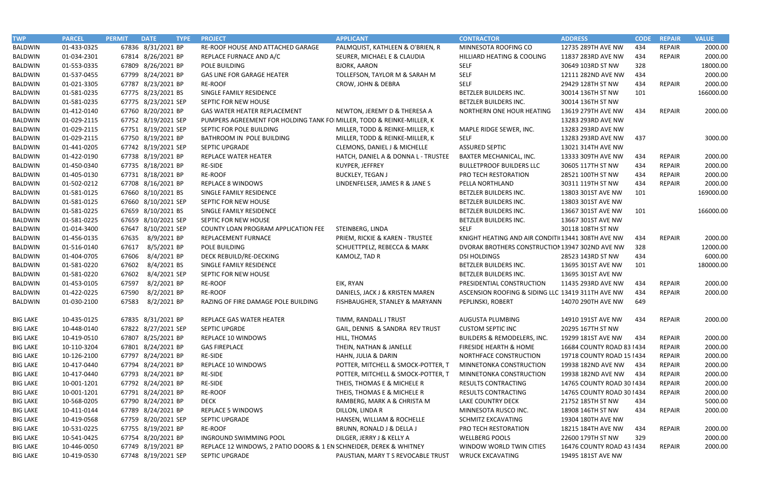| <b>TWP</b>      | <b>PARCEL</b> | <b>PERMIT</b><br><b>DATE</b> | <b>TYPE</b> | <b>PROJECT</b>                                                         | <b>APPLICANT</b>                    | <b>CONTRACTOR</b>                                 | <b>ADDRESS</b>             | <b>CODE</b> | <b>REPAIR</b> | <b>VALUE</b> |
|-----------------|---------------|------------------------------|-------------|------------------------------------------------------------------------|-------------------------------------|---------------------------------------------------|----------------------------|-------------|---------------|--------------|
| <b>BALDWIN</b>  | 01-433-0325   | 67836 8/31/2021 BP           |             | RE-ROOF HOUSE AND ATTACHED GARAGE                                      | PALMQUIST, KATHLEEN & O'BRIEN, R    | MINNESOTA ROOFING CO                              | 12735 289TH AVE NW         | 434         | <b>REPAIR</b> | 2000.00      |
| <b>BALDWIN</b>  | 01-034-2301   | 67814 8/26/2021 BP           |             | REPLACE FURNACE AND A/C                                                | SEURER, MICHAEL E & CLAUDIA         | HILLIARD HEATING & COOLING                        | 11837 283RD AVE NW         | 434         | <b>REPAIR</b> | 2000.00      |
| <b>BALDWIN</b>  | 01-553-0335   | 67809 8/26/2021 BP           |             | POLE BUILDING                                                          | <b>BJORK, AARON</b>                 | <b>SELF</b>                                       | 30649 103RD ST NW          | 328         |               | 18000.00     |
| <b>BALDWIN</b>  | 01-537-0455   | 67799 8/24/2021 BP           |             | <b>GAS LINE FOR GARAGE HEATER</b>                                      | TOLLEFSON, TAYLOR M & SARAH M       | <b>SELF</b>                                       | 12111 282ND AVE NW         | 434         |               | 2000.00      |
| <b>BALDWIN</b>  | 01-021-3305   | 67787 8/23/2021 BP           |             | RE-ROOF                                                                | CROW, JOHN & DEBRA                  | <b>SELF</b>                                       | 29429 128TH ST NW          | 434         | <b>REPAIR</b> | 2000.00      |
| <b>BALDWIN</b>  | 01-581-0235   | 67775 8/23/2021 BS           |             | SINGLE FAMILY RESIDENCE                                                |                                     | BETZLER BUILDERS INC.                             | 30014 136TH ST NW          | 101         |               | 166000.00    |
| <b>BALDWIN</b>  | 01-581-0235   | 67775 8/23/2021 SEP          |             | SEPTIC FOR NEW HOUSE                                                   |                                     | BETZLER BUILDERS INC.                             | 30014 136TH ST NW          |             |               |              |
| <b>BALDWIN</b>  | 01-412-0140   | 67760 8/20/2021 BP           |             | GAS WATER HEATER REPLACEMENT                                           | NEWTON, JEREMY D & THERESA A        | NORTHERN ONE HOUR HEATING                         | 13619 279TH AVE NW         | 434         | REPAIR        | 2000.00      |
| <b>BALDWIN</b>  | 01-029-2115   | 67752 8/19/2021 SEP          |             | PUMPERS AGREEMENT FOR HOLDING TANK FOI MILLER, TODD & REINKE-MILLER, K |                                     |                                                   | 13283 293RD AVE NW         |             |               |              |
| <b>BALDWIN</b>  | 01-029-2115   | 67751 8/19/2021 SEP          |             | SEPTIC FOR POLE BUILDING                                               | MILLER, TODD & REINKE-MILLER, K     | MAPLE RIDGE SEWER, INC.                           | 13283 293RD AVE NW         |             |               |              |
| <b>BALDWIN</b>  | 01-029-2115   | 67750 8/19/2021 BP           |             | BATHROOM IN POLE BUILDING                                              | MILLER, TODD & REINKE-MILLER, K     | <b>SELF</b>                                       | 13283 293RD AVE NW         | 437         |               | 3000.00      |
| <b>BALDWIN</b>  | 01-441-0205   | 67742 8/19/2021 SEP          |             | <b>SEPTIC UPGRADE</b>                                                  | CLEMONS, DANIEL J & MICHELLE        | <b>ASSURED SEPTIC</b>                             | 13021 314TH AVE NW         |             |               |              |
| <b>BALDWIN</b>  | 01-422-0190   | 67738 8/19/2021 BP           |             | <b>REPLACE WATER HEATER</b>                                            | HATCH, DANIEL A & DONNA L - TRUSTEE | BAXTER MECHANICAL, INC.                           | 13333 309TH AVE NW         | 434         | <b>REPAIR</b> | 2000.00      |
| <b>BALDWIN</b>  | 01-450-0340   | 67735 8/18/2021 BP           |             | RE-SIDE                                                                | KUYPER, JEFFREY                     | <b>BULLETPROOF BUILDERS LLC</b>                   | 30605 117TH ST NW          | 434         | <b>REPAIR</b> | 2000.00      |
| <b>BALDWIN</b>  | 01-405-0130   | 67731 8/18/2021 BP           |             | <b>RE-ROOF</b>                                                         | <b>BUCKLEY, TEGAN J</b>             | PRO TECH RESTORATION                              | 28521 100TH ST NW          | 434         | <b>REPAIR</b> | 2000.00      |
| <b>BALDWIN</b>  | 01-502-0212   | 67708 8/16/2021 BP           |             | <b>REPLACE 8 WINDOWS</b>                                               | LINDENFELSER, JAMES R & JANE S      | PELLA NORTHLAND                                   | 30311 119TH ST NW          | 434         | <b>REPAIR</b> | 2000.00      |
| <b>BALDWIN</b>  | 01-581-0125   | 67660 8/10/2021 BS           |             | SINGLE FAMILY RESIDENCE                                                |                                     | BETZLER BUILDERS INC.                             | 13803 301ST AVE NW         | 101         |               | 169000.00    |
| <b>BALDWIN</b>  | 01-581-0125   | 67660 8/10/2021 SEP          |             | SEPTIC FOR NEW HOUSE                                                   |                                     | BETZLER BUILDERS INC.                             | 13803 301ST AVE NW         |             |               |              |
| <b>BALDWIN</b>  | 01-581-0225   | 67659 8/10/2021 BS           |             | SINGLE FAMILY RESIDENCE                                                |                                     | BETZLER BUILDERS INC.                             | 13667 301ST AVE NW         | 101         |               | 166000.00    |
| <b>BALDWIN</b>  | 01-581-0225   | 67659 8/10/2021 SEP          |             | SEPTIC FOR NEW HOUSE                                                   |                                     | BETZLER BUILDERS INC.                             | 13667 301ST AVE NW         |             |               |              |
| <b>BALDWIN</b>  | 01-014-3400   | 67647 8/10/2021 SEP          |             | COUNTY LOAN PROGRAM APPLICATION FEE                                    | STEINBERG, LINDA                    | <b>SELF</b>                                       | 30118 108TH ST NW          |             |               |              |
| <b>BALDWIN</b>  | 01-456-0135   | 8/9/2021 BP<br>67635         |             | REPLACEMENT FURNACE                                                    | PRIEM, RICKIE & KAREN - TRUSTEE     | KNIGHT HEATING AND AIR CONDITI 13441 308TH AVE NW |                            | 434         | <b>REPAIR</b> | 2000.00      |
| <b>BALDWIN</b>  | 01-516-0140   | 8/5/2021 BP<br>67617         |             | POLE BUILDING                                                          | SCHUETTPELZ, REBECCA & MARK         | DVORAK BROTHERS CONSTRUCTION 13947 302ND AVE NW   |                            | 328         |               | 12000.00     |
| <b>BALDWIN</b>  | 01-404-0705   | 8/4/2021 BP<br>67606         |             | DECK REBUILD/RE-DECKING                                                | KAMOLZ, TAD R                       | <b>DSI HOLDINGS</b>                               | 28523 143RD ST NW          | 434         |               | 6000.00      |
| <b>BALDWIN</b>  | 01-581-0220   | 67602<br>8/4/2021 BS         |             | SINGLE FAMILY RESIDENCE                                                |                                     | BETZLER BUILDERS INC.                             | 13695 301ST AVE NW         | 101         |               | 180000.00    |
| <b>BALDWIN</b>  | 01-581-0220   | 8/4/2021 SEP<br>67602        |             | SEPTIC FOR NEW HOUSE                                                   |                                     | BETZLER BUILDERS INC.                             | 13695 301ST AVE NW         |             |               |              |
| <b>BALDWIN</b>  | 01-453-0105   | 8/2/2021 BP<br>67597         |             | <b>RE-ROOF</b>                                                         | EIK, RYAN                           | PRESIDENTIAL CONSTRUCTION                         | 11435 293RD AVE NW         | 434         | <b>REPAIR</b> | 2000.00      |
| <b>BALDWIN</b>  | 01-422-0225   | 8/2/2021 BP<br>67590         |             | <b>RE-ROOF</b>                                                         | DANIELS, JACK J & KRISTEN MAREN     | ASCENSION ROOFING & SIDING LLC 13419 311TH AVE NW |                            | 434         | <b>REPAIR</b> | 2000.00      |
| <b>BALDWIN</b>  | 01-030-2100   | 67583<br>8/2/2021 BP         |             | RAZING OF FIRE DAMAGE POLE BUILDING                                    | FISHBAUGHER, STANLEY & MARYANN      | PEPLINSKI, ROBERT                                 | 14070 290TH AVE NW         | 649         |               |              |
| <b>BIG LAKE</b> | 10-435-0125   | 67835 8/31/2021 BP           |             | REPLACE GAS WATER HEATER                                               | TIMM, RANDALL J TRUST               | AUGUSTA PLUMBING                                  | 14910 191ST AVE NW         | 434         | <b>REPAIR</b> | 2000.00      |
| <b>BIG LAKE</b> | 10-448-0140   | 67822 8/27/2021 SEP          |             | <b>SEPTIC UPGRDE</b>                                                   | GAIL, DENNIS & SANDRA REV TRUST     | <b>CUSTOM SEPTIC INC</b>                          | 20295 167TH ST NW          |             |               |              |
| <b>BIG LAKE</b> | 10-419-0510   | 67807 8/25/2021 BP           |             | <b>REPLACE 10 WINDOWS</b>                                              | HILL, THOMAS                        | <b>BUILDERS &amp; REMODELERS, INC.</b>            | 19299 181ST AVE NW         | 434         | REPAIR        | 2000.00      |
| <b>BIG LAKE</b> | 10-110-3204   | 67801 8/24/2021 BP           |             | <b>GAS FIREPLACE</b>                                                   | THEIN, NATHAN & JANELLE             | FIRESIDE HEARTH & HOME                            | 16684 COUNTY ROAD 83 1434  |             | <b>REPAIR</b> | 2000.00      |
| <b>BIG LAKE</b> | 10-126-2100   | 67797 8/24/2021 BP           |             | RE-SIDE                                                                | HAHN, JULIA & DARIN                 | NORTHFACE CONSTRUCTION                            | 19718 COUNTY ROAD 15   434 |             | <b>REPAIR</b> | 2000.00      |
| <b>BIG LAKE</b> | 10-417-0440   | 67794 8/24/2021 BP           |             | REPLACE 10 WINDOWS                                                     | POTTER, MITCHELL & SMOCK-POTTER, T  | MINNETONKA CONSTRUCTION                           | 19938 182ND AVE NW         | 434         | <b>REPAIR</b> | 2000.00      |
| <b>BIG LAKE</b> | 10-417-0440   | 67793 8/24/2021 BP           |             | <b>RE-SIDE</b>                                                         | POTTER, MITCHELL & SMOCK-POTTER, T  | MINNETONKA CONSTRUCTION                           | 19938 182ND AVE NW         | 434         | <b>REPAIR</b> | 2000.00      |
| <b>BIG LAKE</b> | 10-001-1201   | 67792 8/24/2021 BP           |             | <b>RE-SIDE</b>                                                         | THEIS, THOMAS E & MICHELE R         | RESULTS CONTRACTING                               | 14765 COUNTY ROAD 30 1434  |             | <b>REPAIR</b> | 2000.00      |
| <b>BIG LAKE</b> | 10-001-1201   | 67791 8/24/2021 BP           |             | RE-ROOF                                                                | THEIS, THOMAS E & MICHELE R         | RESULTS CONTRACTING                               | 14765 COUNTY ROAD 30 1434  |             | <b>REPAIR</b> | 2000.00      |
| <b>BIG LAKE</b> | 10-568-0205   | 67790 8/24/2021 BP           |             | <b>DECK</b>                                                            | RAMBERG, MARK A & CHRISTA M         | LAKE COUNTRY DECK                                 | 21752 185TH ST NW          | 434         |               | 5000.00      |
| <b>BIG LAKE</b> | 10-411-0144   | 67789 8/24/2021 BP           |             | <b>REPLACE 5 WINDOWS</b>                                               | DILLON, LINDA R                     | MINNESOTA RUSCO INC.                              | 18908 146TH ST NW          | 434         | <b>REPAIR</b> | 2000.00      |
| <b>BIG LAKE</b> | 10-419-0568   | 67759 8/20/2021 SEP          |             | SEPTIC UPGRADE                                                         | HANSEN, WILLIAM & ROCHELLE          | SCHMITZ EXCAVATING                                | 19304 180TH AVE NW         |             |               |              |
| <b>BIG LAKE</b> | 10-531-0225   | 67755 8/19/2021 BP           |             | <b>RE-ROOF</b>                                                         | BRUNN, RONALD J & DELLA J           | PRO TECH RESTORATION                              | 18215 184TH AVE NW         | 434         | REPAIR        | 2000.00      |
| <b>BIG LAKE</b> | 10-541-0425   | 67754 8/20/2021 BP           |             | INGROUND SWIMMING POOL                                                 | DILGER, JERRY J & KELLY A           | <b>WELLBERG POOLS</b>                             | 22600 179TH ST NW          | 329         |               | 2000.00      |
| <b>BIG LAKE</b> | 10-446-0050   | 67749 8/19/2021 BP           |             | REPLACE 12 WINDOWS, 2 PATIO DOORS & 1 EN SCHNEIDER, DEREK & WHITNEY    |                                     | WINDOW WORLD TWIN CITIES                          | 16476 COUNTY ROAD 43 1434  |             | <b>REPAIR</b> | 2000.00      |
| <b>BIG LAKE</b> | 10-419-0530   | 67748 8/19/2021 SEP          |             | SEPTIC UPGRADE                                                         | PAUSTIAN, MARY T S REVOCABLE TRUST  | <b>WRUCK EXCAVATING</b>                           | 19495 181ST AVE NW         |             |               |              |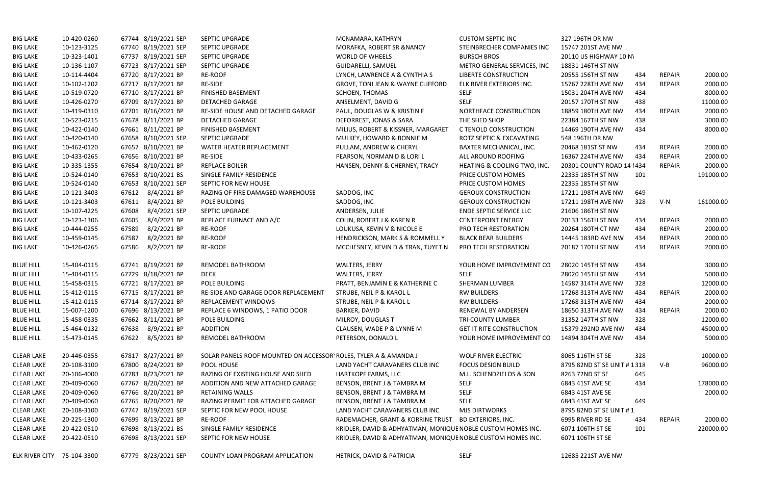| <b>BIG LAKE</b>            | 10-420-0260 | 67744 8/19/2021 SEP   | SEPTIC UPGRADE                                                   | MCNAMARA, KATHRYN                                           | <b>CUSTOM SEPTIC INC</b>        | 327 196TH DR NW             |     |               |           |
|----------------------------|-------------|-----------------------|------------------------------------------------------------------|-------------------------------------------------------------|---------------------------------|-----------------------------|-----|---------------|-----------|
| <b>BIG LAKE</b>            | 10-123-3125 | 67740 8/19/2021 SEP   | SEPTIC UPGRADE                                                   | MORAFKA, ROBERT SR & NANCY                                  | STEINBRECHER COMPANIES INC      | 15747 201ST AVE NW          |     |               |           |
| <b>BIG LAKE</b>            | 10-323-1401 | 67737 8/19/2021 SEP   | <b>SEPTIC UPGRADE</b>                                            | <b>WORLD OF WHEELS</b>                                      | <b>BURSCH BROS</b>              | 20110 US HIGHWAY 10 N\      |     |               |           |
| <b>BIG LAKE</b>            | 10-136-1107 | 67723 8/17/2021 SEP   | <b>SEPTIC UPGRADE</b>                                            | <b>GUIDARELLI, SAMUEL</b>                                   | METRO GENERAL SERVICES, INC     | 18831 146TH ST NW           |     |               |           |
| <b>BIG LAKE</b>            | 10-114-4404 | 67720 8/17/2021 BP    | <b>RE-ROOF</b>                                                   | LYNCH, LAWRENCE A & CYNTHIA S                               | <b>LIBERTE CONSTRUCTION</b>     | 20555 156TH ST NW           | 434 | <b>REPAIR</b> | 2000.00   |
| <b>BIG LAKE</b>            | 10-102-1202 | 67717 8/17/2021 BP    | <b>RE-SIDE</b>                                                   | GROVE, TONI JEAN & WAYNE CLIFFORD                           | ELK RIVER EXTERIORS INC.        | 15767 228TH AVE NW          | 434 | <b>REPAIR</b> | 2000.00   |
| <b>BIG LAKE</b>            | 10-519-0720 | 67710 8/17/2021 BP    | <b>FINISHED BASEMENT</b>                                         | <b>SCHOEN, THOMAS</b>                                       | <b>SELF</b>                     | 15031 204TH AVE NW          | 434 |               | 8000.00   |
| <b>BIG LAKE</b>            | 10-426-0270 | 67709 8/17/2021 BP    | <b>DETACHED GARAGE</b>                                           | ANSELMENT, DAVID G                                          | <b>SELF</b>                     | 20157 170TH ST NW           | 438 |               | 11000.00  |
| <b>BIG LAKE</b>            | 10-419-0310 | 67701 8/16/2021 BP    | RE-SIDE HOUSE AND DETACHED GARAGE                                | PAUL, DOUGLAS W & KRISTIN F                                 | NORTHFACE CONSTRUCTION          | 18859 180TH AVE NW          | 434 | <b>REPAIR</b> | 2000.00   |
| <b>BIG LAKE</b>            | 10-523-0215 | 67678 8/11/2021 BP    | DETACHED GARAGE                                                  | DEFORREST, JONAS & SARA                                     | THE SHED SHOP                   | 22384 167TH ST NW           | 438 |               | 3000.00   |
| <b>BIG LAKE</b>            | 10-422-0140 | 67661 8/11/2021 BP    | <b>FINISHED BASEMENT</b>                                         | MILIUS, ROBERT & KISSNER, MARGARET                          | C TENOLD CONSTRUCTION           | 14469 190TH AVE NW          | 434 |               | 8000.00   |
| <b>BIG LAKE</b>            | 10-420-0140 | 67658 8/10/2021 SEP   | <b>SEPTIC UPGRADE</b>                                            | MULKEY, HOWARD & BONNIE M                                   | ROTZ SEPTIC & EXCAVATING        | 548 196TH DR NW             |     |               |           |
| <b>BIG LAKE</b>            | 10-462-0120 | 67657 8/10/2021 BP    | WATER HEATER REPLACEMENT                                         | PULLAM, ANDREW & CHERYL                                     | BAXTER MECHANICAL, INC.         | 20468 181ST ST NW           | 434 | <b>REPAIR</b> | 2000.00   |
| <b>BIG LAKE</b>            | 10-433-0265 | 67656 8/10/2021 BP    | RE-SIDE                                                          | PEARSON, NORMAN D & LORI L                                  | ALL AROUND ROOFING              | 16367 224TH AVE NW          | 434 | <b>REPAIR</b> | 2000.00   |
| <b>BIG LAKE</b>            | 10-335-1355 | 67654 8/10/2021 BP    | <b>REPLACE BOILER</b>                                            | HANSEN, DENNY & CHERNEY, TRACY                              | HEATING & COOLING TWO, INC.     | 20301 COUNTY ROAD 14   434  |     | <b>REPAIR</b> | 2000.00   |
| <b>BIG LAKE</b>            | 10-524-0140 | 67653 8/10/2021 BS    | SINGLE FAMILY RESIDENCE                                          |                                                             | PRICE CUSTOM HOMES              | 22335 185TH ST NW           | 101 |               | 191000.00 |
| <b>BIG LAKE</b>            | 10-524-0140 | 67653 8/10/2021 SEP   | SEPTIC FOR NEW HOUSE                                             |                                                             | PRICE CUSTOM HOMES              | 22335 185TH ST NW           |     |               |           |
| <b>BIG LAKE</b>            | 10-121-3403 | 67612 8/4/2021 BP     | RAZING OF FIRE DAMAGED WAREHOUSE                                 | SADDOG, INC                                                 | <b>GEROUX CONSTRUCTION</b>      | 17211 198TH AVE NW          | 649 |               |           |
| <b>BIG LAKE</b>            | 10-121-3403 | 67611 8/4/2021 BP     | POLE BUILDING                                                    | SADDOG, INC                                                 | <b>GEROUX CONSTRUCTION</b>      | 17211 198TH AVE NW          | 328 | $V-N$         | 161000.00 |
| <b>BIG LAKE</b>            | 10-107-4225 | 8/4/2021 SEP<br>67608 | SEPTIC UPGRADE                                                   | ANDERSEN, JULIE                                             | <b>ENDE SEPTIC SERVICE LLC</b>  | 21606 186TH ST NW           |     |               |           |
| <b>BIG LAKE</b>            | 10-123-1306 | 8/4/2021 BP<br>67605  | REPLACE FURNACE AND A/C                                          | <b>COLIN, ROBERT J &amp; KAREN R</b>                        | <b>CENTERPOINT ENERGY</b>       | 20133 156TH ST NW           | 434 | <b>REPAIR</b> | 2000.00   |
| <b>BIG LAKE</b>            | 10-444-0255 | 8/2/2021 BP<br>67589  | <b>RE-ROOF</b>                                                   | LOUKUSA, KEVIN V & NICOLE E                                 | PRO TECH RESTORATION            | 20264 180TH CT NW           | 434 | <b>REPAIR</b> | 2000.00   |
| <b>BIG LAKE</b>            | 10-459-0145 | 8/2/2021 BP<br>67587  | RE-ROOF                                                          | HENDRICKSON, MARK S & ROMMELL Y                             | <b>BLACK BEAR BUILDERS</b>      | 14445 183RD AVE NW          | 434 | <b>REPAIR</b> | 2000.00   |
| <b>BIG LAKE</b>            | 10-426-0265 | 67586 8/2/2021 BP     | <b>RE-ROOF</b>                                                   | MCCHESNEY, KEVIN D & TRAN, TUYET N                          | PRO TECH RESTORATION            | 20187 170TH ST NW           | 434 | <b>REPAIR</b> | 2000.00   |
| <b>BLUE HILL</b>           | 15-404-0115 | 67741 8/19/2021 BP    | REMODEL BATHROOM                                                 | <b>WALTERS, JERRY</b>                                       | YOUR HOME IMPROVEMENT CO        | 28020 145TH ST NW           | 434 |               | 3000.00   |
| <b>BLUE HILL</b>           | 15-404-0115 | 67729 8/18/2021 BP    | <b>DECK</b>                                                      | WALTERS, JERRY                                              | <b>SELF</b>                     | 28020 145TH ST NW           | 434 |               | 5000.00   |
| <b>BLUE HILL</b>           | 15-458-0315 | 67721 8/17/2021 BP    | POLE BUILDING                                                    | PRATT, BENJAMIN E & KATHERINE C                             | <b>SHERMAN LUMBER</b>           | 14587 314TH AVE NW          | 328 |               | 12000.00  |
| <b>BLUE HILL</b>           | 15-412-0115 | 67715 8/17/2021 BP    | RE-SIDE AND GARAGE DOOR REPLACEMENT                              | STRUBE, NEIL P & KAROL L                                    | <b>RW BUILDERS</b>              | 17268 313TH AVE NW          | 434 | <b>REPAIR</b> | 2000.00   |
| <b>BLUE HILL</b>           | 15-412-0115 | 67714 8/17/2021 BP    | <b>REPLACEMENT WINDOWS</b>                                       | STRUBE, NEIL P & KAROL L                                    | <b>RW BUILDERS</b>              | 17268 313TH AVE NW          | 434 |               | 2000.00   |
| <b>BLUE HILL</b>           | 15-007-1200 | 67696 8/13/2021 BP    | REPLACE 6 WINDOWS, 1 PATIO DOOR                                  | BARKER, DAVID                                               | RENEWAL BY ANDERSEN             | 18650 313TH AVE NW          | 434 | REPAIR        | 2000.00   |
| <b>BLUE HILL</b>           | 15-458-0335 | 67662 8/11/2021 BP    | POLE BUILDING                                                    | MILROY, DOUGLAS T                                           | TRI-COUNTY LUMBER               | 31352 147TH ST NW           | 328 |               | 12000.00  |
| <b>BLUE HILL</b>           | 15-464-0132 | 67638 8/9/2021 BP     | ADDITION                                                         | CLAUSEN, WADE P & LYNNE M                                   | <b>GET IT RITE CONSTRUCTION</b> | 15379 292ND AVE NW          | 434 |               | 45000.00  |
| <b>BLUE HILL</b>           | 15-473-0145 | 67622 8/5/2021 BP     | REMODEL BATHROOM                                                 | PETERSON, DONALD L                                          | YOUR HOME IMPROVEMENT CO        | 14894 304TH AVE NW          | 434 |               | 5000.00   |
| <b>CLEAR LAKE</b>          | 20-446-0355 | 67817 8/27/2021 BP    | SOLAR PANELS ROOF MOUNTED ON ACCESSOR' ROLES, TYLER A & AMANDA J |                                                             | WOLF RIVER ELECTRIC             | 8065 116TH ST SE            | 328 |               | 10000.00  |
| <b>CLEAR LAKE</b>          | 20-108-3100 | 67800 8/24/2021 BP    | POOL HOUSE                                                       | LAND YACHT CARAVANERS CLUB INC                              | <b>FOCUS DESIGN BUILD</b>       | 8795 82ND ST SE UNIT # 1318 |     | $V-B$         | 96000.00  |
| <b>CLEAR LAKE</b>          | 20-106-4000 | 67783 8/23/2021 BP    | RAZING OF EXISTING HOUSE AND SHED                                | HARTKOPF FARMS, LLC                                         | M.L. SCHENDZIELOS & SON         | 8263 72ND ST SE             | 645 |               |           |
| <b>CLEAR LAKE</b>          | 20-409-0060 | 67767 8/20/2021 BP    | ADDITION AND NEW ATTACHED GARAGE                                 | BENSON, BRENT J & TAMBRA M                                  | <b>SELF</b>                     | 6843 41ST AVE SE            | 434 |               | 178000.00 |
| <b>CLEAR LAKE</b>          | 20-409-0060 | 67766 8/20/2021 BP    | <b>RETAINING WALLS</b>                                           | BENSON, BRENT J & TAMBRA M                                  | <b>SELF</b>                     | 6843 41ST AVE SE            |     |               | 2000.00   |
| <b>CLEAR LAKE</b>          | 20-409-0060 | 67765 8/20/2021 BP    | RAZING PERMIT FOR ATTACHED GARAGE                                | BENSON, BRENT J & TAMBRA M                                  | <b>SELF</b>                     | 6843 41ST AVE SE            | 649 |               |           |
| <b>CLEAR LAKE</b>          | 20-108-3100 | 67747 8/19/2021 SEP   | SEPTIC FOR NEW POOL HOUSE                                        | LAND YACHT CARAVANERS CLUB INC                              | <b>MJS DIRTWORKS</b>            | 8795 82ND ST SE UNIT # 1    |     |               |           |
| <b>CLEAR LAKE</b>          | 20-225-1300 | 67699 8/13/2021 BP    | RE-ROOF                                                          | RADEMACHER, GRANT & KORRINE TRUST                           | <b>BD EXTERIORS, INC.</b>       | 6995 RIVER RD SE            | 434 | REPAIR        | 2000.00   |
| <b>CLEAR LAKE</b>          | 20-422-0510 | 67698 8/13/2021 BS    | SINGLE FAMILY RESIDENCE                                          | KRIDLER, DAVID & ADHYATMAN, MONIQUE NOBLE CUSTOM HOMES INC. |                                 | 6071 106TH ST SE            | 101 |               | 220000.00 |
| <b>CLEAR LAKE</b>          | 20-422-0510 | 67698 8/13/2021 SEP   | SEPTIC FOR NEW HOUSE                                             | KRIDLER, DAVID & ADHYATMAN, MONIQUE NOBLE CUSTOM HOMES INC. |                                 | 6071 106TH ST SE            |     |               |           |
| ELK RIVER CITY 75-104-3300 |             | 67779 8/23/2021 SEP   | COUNTY LOAN PROGRAM APPLICATION                                  | HETRICK, DAVID & PATRICIA                                   | <b>SELF</b>                     | 12685 221ST AVE NW          |     |               |           |

| 327 196TH DR NW             |     |               |           |
|-----------------------------|-----|---------------|-----------|
| 15747 201ST AVE NW          |     |               |           |
| 20110 US HIGHWAY 10 NV      |     |               |           |
| 8831 146TH ST NW            |     |               |           |
| 20555 156TH ST NW           | 434 | <b>REPAIR</b> | 2000.00   |
| 15767 228TH AVE NW          | 434 | <b>REPAIR</b> | 2000.00   |
| 15031 204TH AVE NW          | 434 |               | 8000.00   |
| 20157 170TH ST NW           | 438 |               | 11000.00  |
| 18859 180TH AVE NW          | 434 | <b>REPAIR</b> | 2000.00   |
| 2384 167TH ST NW            | 438 |               | 3000.00   |
| 14469 190TH AVE NW          | 434 |               | 8000.00   |
| 648 196TH DR NW             |     |               |           |
| 20468 181ST ST NW           | 434 | <b>REPAIR</b> | 2000.00   |
| 16367 224TH AVE NW          | 434 | <b>REPAIR</b> | 2000.00   |
| 20301 COUNTY ROAD 14 1434   |     | <b>REPAIR</b> | 2000.00   |
| 22335 185TH ST NW           | 101 |               | 191000.00 |
| 2335 185TH ST NW            |     |               |           |
| 17211 198TH AVE NW          | 649 |               |           |
| 17211 198TH AVE NW          | 328 | $V-N$         | 161000.00 |
| 21606 186TH ST NW           |     |               |           |
| 20133 156TH ST NW           | 434 | <b>REPAIR</b> | 2000.00   |
| 20264 180TH CT NW           | 434 | <b>REPAIR</b> | 2000.00   |
| 4445 183RD AVE NW           | 434 | <b>REPAIR</b> | 2000.00   |
| 20187 170TH ST NW           | 434 | <b>REPAIR</b> | 2000.00   |
|                             |     |               |           |
| 28020 145TH ST NW           | 434 |               | 3000.00   |
| 28020 145TH ST NW           | 434 |               | 5000.00   |
| 14587 314TH AVE NW          | 328 |               | 12000.00  |
| 17268 313TH AVE NW          | 434 | <b>REPAIR</b> | 2000.00   |
| 17268 313TH AVE NW          | 434 |               | 2000.00   |
| 18650 313TH AVE NW          | 434 | <b>REPAIR</b> | 2000.00   |
| 31352 147TH ST NW           | 328 |               | 12000.00  |
| 15379 292ND AVE NW 434      |     |               | 45000.00  |
| 14894 304TH AVE NW          | 434 |               | 5000.00   |
| 3065 116TH ST SE            | 328 |               | 10000.00  |
| 3795 82ND ST SE UNIT # 1318 |     | $V-B$         | 96000.00  |
| 3263 72ND ST SE             | 645 |               |           |
| 6843 41ST AVE SE            | 434 |               | 178000.00 |
| 6843 41ST AVE SE            |     |               | 2000.00   |
| ኔ843 41ST AVE SE            | 649 |               |           |
| 3795 82ND ST SE UNIT # 1    |     |               |           |
| 6995 RIVER RD SE            | 434 | REPAIR        | 2000.00   |
| 6071 106TH ST SE            | 101 |               | 220000.00 |
| 6071 106TH ST SE            |     |               |           |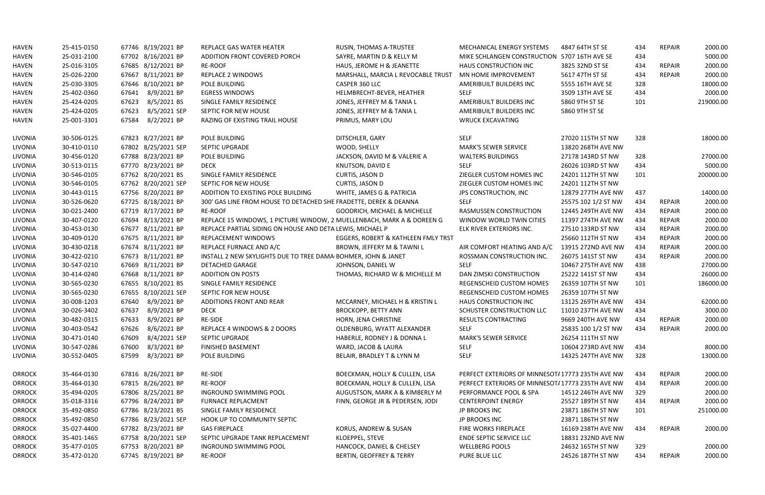| <b>HAVEN</b>   | 25-415-0150 | 67746 8/19/2021 BP    | REPLACE GAS WATER HEATER                                               | RUSIN, THOMAS A-TRUSTEE                 | MECHANICAL ENERGY SYSTEMS                        | 4847 64TH ST SE     | 434 | <b>REPAIR</b> | 2000.00   |
|----------------|-------------|-----------------------|------------------------------------------------------------------------|-----------------------------------------|--------------------------------------------------|---------------------|-----|---------------|-----------|
| <b>HAVEN</b>   | 25-031-2100 | 67702 8/16/2021 BP    | ADDITION FRONT COVERED PORCH                                           | SAYRE, MARTIN D & KELLY M               | MIKE SCHLANGEN CONSTRUCTION 5707 16TH AVE SE     |                     | 434 |               | 5000.00   |
| <b>HAVEN</b>   | 25-016-3105 | 67685 8/12/2021 BP    | <b>RE-ROOF</b>                                                         | HAUS, JEROME H & JEANETTE               | HAUS CONSTRUCTION INC                            | 3825 32ND ST SE     | 434 | <b>REPAIR</b> | 2000.00   |
| <b>HAVEN</b>   | 25-026-2200 | 67667 8/11/2021 BP    | <b>REPLACE 2 WINDOWS</b>                                               | MARSHALL, MARCIA L REVOCABLE TRUST      | MN HOME IMPROVEMENT                              | 5617 47TH ST SE     | 434 | <b>REPAIR</b> | 2000.00   |
| <b>HAVEN</b>   | 25-030-3305 | 67646 8/10/2021 BP    | POLE BUILDING                                                          | CASPER 360 LLC                          | AMERIBUILT BUILDERS INC                          | 5555 16TH AVE SE    | 328 |               | 18000.00  |
| <b>HAVEN</b>   | 25-402-0360 | 67641 8/9/2021 BP     | <b>EGRESS WINDOWS</b>                                                  | HELMBRECHT-BEVER, HEATHER               | <b>SELF</b>                                      | 3509 13TH AVE SE    | 434 |               | 2000.00   |
| <b>HAVEN</b>   | 25-424-0205 | 8/5/2021 BS<br>67623  | SINGLE FAMILY RESIDENCE                                                | JONES, JEFFREY M & TANIA L              | AMERIBUILT BUILDERS INC                          | 5860 9TH ST SE      | 101 |               | 219000.00 |
| <b>HAVEN</b>   | 25-424-0205 | 8/5/2021 SEP<br>67623 | SEPTIC FOR NEW HOUSE                                                   | JONES, JEFFREY M & TANIA L              | AMERIBUILT BUILDERS INC                          | 5860 9TH ST SE      |     |               |           |
| <b>HAVEN</b>   | 25-001-3301 | 8/2/2021 BP<br>67584  | RAZING OF EXISTING TRAIL HOUSE                                         | PRIMUS, MARY LOU                        | <b>WRUCK EXCAVATING</b>                          |                     |     |               |           |
| LIVONIA        | 30-506-0125 | 67823 8/27/2021 BP    | POLE BUILDING                                                          | DITSCHLER, GARY                         | <b>SELF</b>                                      | 27020 115TH ST NW   | 328 |               | 18000.00  |
| LIVONIA        | 30-410-0110 | 67802 8/25/2021 SEP   | SEPTIC UPGRADE                                                         | WOOD, SHELLY                            | <b>MARK'S SEWER SERVICE</b>                      | 13820 268TH AVE NW  |     |               |           |
| LIVONIA        | 30-456-0120 | 67788 8/23/2021 BP    | POLE BUILDING                                                          | JACKSON, DAVID M & VALERIE A            | <b>WALTERS BUILDINGS</b>                         | 27178 143RD ST NW   | 328 |               | 27000.00  |
| LIVONIA        | 30-513-0115 | 67770 8/23/2021 BP    | <b>DECK</b>                                                            | KNUTSON, DAVID E                        | <b>SELF</b>                                      | 26026 103RD ST NW   | 434 |               | 5000.00   |
| LIVONIA        | 30-546-0105 | 67762 8/20/2021 BS    | SINGLE FAMILY RESIDENCE                                                | CURTIS, JASON D                         | ZIEGLER CUSTOM HOMES INC                         | 24201 112TH ST NW   | 101 |               | 200000.00 |
| LIVONIA        | 30-546-0105 | 67762 8/20/2021 SEP   | SEPTIC FOR NEW HOUSE                                                   | CURTIS, JASON D                         | ZIEGLER CUSTOM HOMES INC                         | 24201 112TH ST NW   |     |               |           |
| LIVONIA        | 30-443-0115 | 67756 8/20/2021 BP    | ADDITION TO EXISTING POLE BUILDING                                     | WHITE, JAMES G & PATRICIA               | <b>JPS CONSTRUCTION, INC</b>                     | 12879 277TH AVE NW  | 437 |               | 14000.00  |
| LIVONIA        | 30-526-0620 | 67725 8/18/2021 BP    | 300' GAS LINE FROM HOUSE TO DETACHED SHE FRADETTE, DEREK & DEANNA      |                                         | <b>SELF</b>                                      | 25575 102 1/2 ST NW | 434 | REPAIR        | 2000.00   |
| LIVONIA        | 30-021-2400 | 67719 8/17/2021 BP    | <b>RE-ROOF</b>                                                         | <b>GOODRICH, MICHAEL &amp; MICHELLE</b> | <b>RASMUSSEN CONSTRUCTION</b>                    | 12445 249TH AVE NW  | 434 | <b>REPAIR</b> | 2000.00   |
| <b>LIVONIA</b> | 30-407-0120 | 67694 8/13/2021 BP    | REPLACE 15 WINDOWS, 1 PICTURE WINDOW, 2 MUELLENBACH, MARK A & DOREEN G |                                         | WINDOW WORLD TWIN CITIES                         | 11397 274TH AVE NW  | 434 | <b>REPAIR</b> | 2000.00   |
| LIVONIA        | 30-453-0130 | 67677 8/11/2021 BP    | REPLACE PARTIAL SIDING ON HOUSE AND DETA LEWIS, MICHAEL P              |                                         | ELK RIVER EXTERIORS INC.                         | 27510 133RD ST NW   | 434 | <b>REPAIR</b> | 2000.00   |
| LIVONIA        | 30-409-0120 | 67675 8/11/2021 BP    | REPLACEMENT WINDOWS                                                    | EGGERS, ROBERT & KATHLEEN FMLY TRST     |                                                  | 25660 112TH ST NW   | 434 | <b>REPAIR</b> | 2000.00   |
| LIVONIA        | 30-430-0218 | 67674 8/11/2021 BP    | REPLACE FURNACE AND A/C                                                | BROWN, JEFFERY M & TAWNI L              | AIR COMFORT HEATING AND A/C                      | 13915 272ND AVE NW  | 434 | <b>REPAIR</b> | 2000.00   |
| LIVONIA        | 30-422-0210 | 67673 8/11/2021 BP    | INSTALL 2 NEW SKYLIGHTS DUE TO TREE DAMA BOHMER, JOHN & JANET          |                                         | ROSSMAN CONSTRUCTION INC.                        | 26075 141ST ST NW   | 434 | <b>REPAIR</b> | 2000.00   |
| LIVONIA        | 30-547-0210 | 67669 8/11/2021 BP    | DETACHED GARAGE                                                        | JOHNSON, DANIEL W                       | <b>SELF</b>                                      | 10467 275TH AVE NW  | 438 |               | 27000.00  |
| LIVONIA        | 30-414-0240 | 67668 8/11/2021 BP    | <b>ADDITION ON POSTS</b>                                               | THOMAS, RICHARD W & MICHELLE M          | DAN ZIMSKI CONSTRUCTION                          | 25222 141ST ST NW   | 434 |               | 26000.00  |
| LIVONIA        | 30-565-0230 | 67655 8/10/2021 BS    | SINGLE FAMILY RESIDENCE                                                |                                         | REGENSCHEID CUSTOM HOMES                         | 26359 107TH ST NW   | 101 |               | 186000.00 |
| LIVONIA        | 30-565-0230 | 67655 8/10/2021 SEP   | SEPTIC FOR NEW HOUSE                                                   |                                         | <b>REGENSCHEID CUSTOM HOMES</b>                  | 26359 107TH ST NW   |     |               |           |
| LIVONIA        | 30-008-1203 | 67640 8/9/2021 BP     | <b>ADDITIONS FRONT AND REAR</b>                                        | MCCARNEY, MICHAEL H & KRISTIN L         | HAUS CONSTRUCTION INC                            | 13125 269TH AVE NW  | 434 |               | 62000.00  |
| LIVONIA        | 30-026-3402 | 8/9/2021 BP<br>67637  | <b>DECK</b>                                                            | <b>BROCKOPP, BETTY ANN</b>              | SCHUSTER CONSTRUCTION LLC                        | 11010 237TH AVE NW  | 434 |               | 3000.00   |
| <b>LIVONIA</b> | 30-482-0315 | 67633<br>8/9/2021 BP  | RE-SIDE                                                                | HORN, JENA CHRISTINE                    | <b>RESULTS CONTRACTING</b>                       | 9669 240TH AVE NW   | 434 | REPAIR        | 2000.00   |
| LIVONIA        | 30-403-0542 | 8/6/2021 BP<br>67626  | REPLACE 4 WINDOWS & 2 DOORS                                            | OLDENBURG, WYATT ALEXANDER              | <b>SELF</b>                                      | 25835 100 1/2 ST NW | 434 | REPAIR        | 2000.00   |
| LIVONIA        | 30-471-0140 | 67609<br>8/4/2021 SEP | SEPTIC UPGRADE                                                         | HABERLE, RODNEY J & DONNA L             | <b>MARK'S SEWER SERVICE</b>                      | 26254 111TH ST NW   |     |               |           |
| LIVONIA        | 30-547-0286 | 8/3/2021 BP<br>67600  | <b>FINISHED BASEMENT</b>                                               | WARD, JACOB & LAURA                     | <b>SELF</b>                                      | 10604 273RD AVE NW  | 434 |               | 8000.00   |
| LIVONIA        | 30-552-0405 | 8/3/2021 BP<br>67599  | POLE BUILDING                                                          | BELAIR, BRADLEY T & LYNN M              | <b>SELF</b>                                      | 14325 247TH AVE NW  | 328 |               | 13000.00  |
| <b>ORROCK</b>  | 35-464-0130 | 67816 8/26/2021 BP    | RE-SIDE                                                                | BOECKMAN, HOLLY & CULLEN, LISA          | PERFECT EXTERIORS OF MINNESOT/17773 235TH AVE NW |                     | 434 | REPAIR        | 2000.00   |
| <b>ORROCK</b>  | 35-464-0130 | 67815 8/26/2021 BP    | RE-ROOF                                                                | BOECKMAN, HOLLY & CULLEN, LISA          | PERFECT EXTERIORS OF MINNESOT/17773 235TH AVE NW |                     | 434 | <b>REPAIR</b> | 2000.00   |
| <b>ORROCK</b>  | 35-494-0205 | 67806 8/25/2021 BP    | INGROUND SWIMMING POOL                                                 | AUGUSTSON, MARK A & KIMBERLY M          | PERFORMANCE POOL & SPA                           | 14512 246TH AVE NW  | 329 |               | 2000.00   |
| <b>ORROCK</b>  | 35-018-3316 | 67796 8/24/2021 BP    | <b>FURNACE REPLACMENT</b>                                              | FINN, GEORGE JR & PEDERSEN, JODI        | <b>CENTERPOINT ENERGY</b>                        | 25527 189TH ST NW   | 434 | REPAIR        | 2000.00   |
| <b>ORROCK</b>  | 35-492-0850 | 67786 8/23/2021 BS    | SINGLE FAMILY RESIDENCE                                                |                                         | JP BROOKS INC                                    | 23871 186TH ST NW   | 101 |               | 251000.00 |
| <b>ORROCK</b>  | 35-492-0850 | 67786 8/23/2021 SEP   | HOOK UP TO COMMUNITY SEPTIC                                            |                                         | JP BROOKS INC                                    | 23871 186TH ST NW   |     |               |           |
| <b>ORROCK</b>  | 35-027-4400 | 67782 8/23/2021 BP    | <b>GAS FIREPLACE</b>                                                   | KORUS, ANDREW & SUSAN                   | FIRE WORKS FIREPLACE                             | 16169 238TH AVE NW  | 434 | REPAIR        | 2000.00   |
| <b>ORROCK</b>  | 35-401-1465 | 67758 8/20/2021 SEP   | SEPTIC UPGRADE TANK REPLACEMENT                                        | KLOEPPEL, STEVE                         | <b>ENDE SEPTIC SERVICE LLC</b>                   | 18831 232ND AVE NW  |     |               |           |
| <b>ORROCK</b>  | 35-477-0105 | 67753 8/20/2021 BP    | INGROUND SWIMMING POOL                                                 | HANCOCK, DANIEL & CHELSEY               | <b>WELLBERG POOLS</b>                            | 24632 165TH ST NW   | 329 |               | 2000.00   |
| <b>ORROCK</b>  | 35-472-0120 | 67745 8/19/2021 BP    | RE-ROOF                                                                | BERTIN, GEOFFREY & TERRY                | PURE BLUE LLC                                    | 24526 187TH ST NW   | 434 | REPAIR        | 2000.00   |
|                |             |                       |                                                                        |                                         |                                                  |                     |     |               |           |